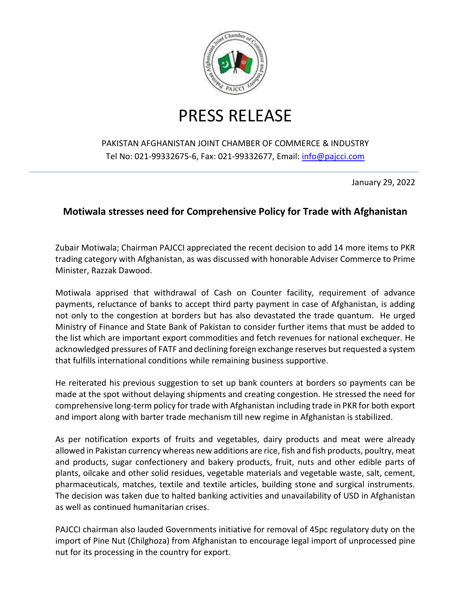

## PRESS RELEASE

## PAKISTAN AFGHANISTAN JOINT CHAMBER OF COMMERCE & INDUSTRY Tel No: 021-99332675-6, Fax: 021-99332677, Email: [info@pajcci.com](mailto:info@pajcci.com)

January 29, 2022

## **Motiwala stresses need for Comprehensive Policy for Trade with Afghanistan**

Zubair Motiwala; Chairman PAJCCI appreciated the recent decision to add 14 more items to PKR trading category with Afghanistan, as was discussed with honorable Adviser Commerce to Prime Minister, Razzak Dawood.

Motiwala apprised that withdrawal of Cash on Counter facility, requirement of advance payments, reluctance of banks to accept third party payment in case of Afghanistan, is adding not only to the congestion at borders but has also devastated the trade quantum. He urged Ministry of Finance and State Bank of Pakistan to consider further items that must be added to the list which are important export commodities and fetch revenues for national exchequer. He acknowledged pressures of FATF and declining foreign exchange reserves but requested a system that fulfills international conditions while remaining business supportive.

He reiterated his previous suggestion to set up bank counters at borders so payments can be made at the spot without delaying shipments and creating congestion. He stressed the need for comprehensive long-term policy for trade with Afghanistan including trade in PKR for both export and import along with barter trade mechanism till new regime in Afghanistan is stabilized.

As per notification exports of fruits and vegetables, dairy products and meat were already allowed in Pakistan currency whereas new additions are rice, fish and fish products, poultry, meat and products, sugar confectionery and bakery products, fruit, nuts and other edible parts of plants, oilcake and other solid residues, vegetable materials and vegetable waste, salt, cement, pharmaceuticals, matches, textile and textile articles, building stone and surgical instruments. The decision was taken due to halted banking activities and unavailability of USD in Afghanistan as well as continued humanitarian crises.

PAJCCI chairman also lauded Governments initiative for removal of 45pc regulatory duty on the import of Pine Nut (Chilghoza) from Afghanistan to encourage legal import of unprocessed pine nut for its processing in the country for export.